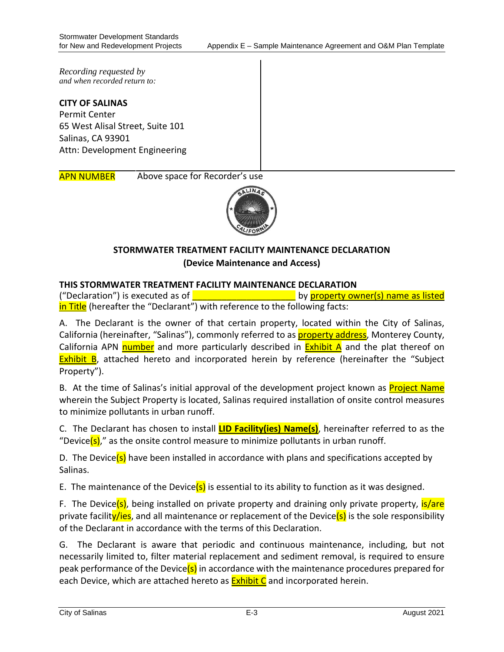*Recording requested by and when recorded return to:*

**CITY OF SALINAS** Permit Center 65 West Alisal Street, Suite 101 Salinas, CA 93901 Attn: Development Engineering

APN NUMBER Above space for Recorder's use



# **STORMWATER TREATMENT FACILITY MAINTENANCE DECLARATION (Device Maintenance and Access)**

### **THIS STORMWATER TREATMENT FACILITY MAINTENANCE DECLARATION**

("Declaration") is executed as of  $\Box$ in Title (hereafter the "Declarant") with reference to the following facts:

A. The Declarant is the owner of that certain property, located within the City of Salinas, California (hereinafter, "Salinas"), commonly referred to as **property address**, Monterey County, California APN number and more particularly described in  $Exhibit A$  and the plat thereof on Exhibit B, attached hereto and incorporated herein by reference (hereinafter the "Subject Property").

B. At the time of Salinas's initial approval of the development project known as **Project Name** wherein the Subject Property is located, Salinas required installation of onsite control measures to minimize pollutants in urban runoff.

C. The Declarant has chosen to install **LID Facility(ies) Name(s)**, hereinafter referred to as the "Device(s)," as the onsite control measure to minimize pollutants in urban runoff.

D. The Device( $s$ ) have been installed in accordance with plans and specifications accepted by Salinas.

E. The maintenance of the Device( $s$ ) is essential to its ability to function as it was designed.

F. The Device(s), being installed on private property and draining only private property,  $is/are$ private facility/ies, and all maintenance or replacement of the Device(s) is the sole responsibility of the Declarant in accordance with the terms of this Declaration.

G. The Declarant is aware that periodic and continuous maintenance, including, but not necessarily limited to, filter material replacement and sediment removal, is required to ensure peak performance of the Device(s) in accordance with the maintenance procedures prepared for each Device, which are attached hereto as **Exhibit C** and incorporated herein.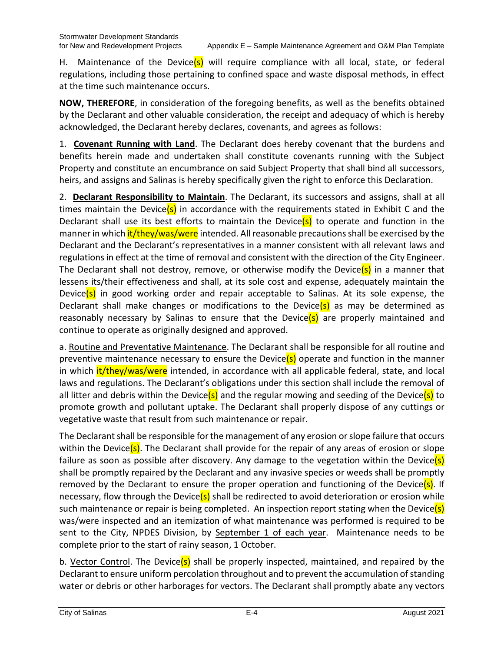H. Maintenance of the Device(s) will require compliance with all local, state, or federal regulations, including those pertaining to confined space and waste disposal methods, in effect at the time such maintenance occurs.

**NOW, THEREFORE**, in consideration of the foregoing benefits, as well as the benefits obtained by the Declarant and other valuable consideration, the receipt and adequacy of which is hereby acknowledged, the Declarant hereby declares, covenants, and agrees as follows:

1. **Covenant Running with Land**. The Declarant does hereby covenant that the burdens and benefits herein made and undertaken shall constitute covenants running with the Subject Property and constitute an encumbrance on said Subject Property that shall bind all successors, heirs, and assigns and Salinas is hereby specifically given the right to enforce this Declaration.

2. **Declarant Responsibility to Maintain**. The Declarant, its successors and assigns, shall at all times maintain the Device(s) in accordance with the requirements stated in Exhibit C and the Declarant shall use its best efforts to maintain the Device(s) to operate and function in the manner in which it/they/was/were intended. All reasonable precautions shall be exercised by the Declarant and the Declarant's representatives in a manner consistent with all relevant laws and regulations in effect at the time of removal and consistent with the direction of the City Engineer. The Declarant shall not destroy, remove, or otherwise modify the Device(s) in a manner that lessens its/their effectiveness and shall, at its sole cost and expense, adequately maintain the Device( $s$ ) in good working order and repair acceptable to Salinas. At its sole expense, the Declarant shall make changes or modifications to the Device(s) as may be determined as reasonably necessary by Salinas to ensure that the Device(s) are properly maintained and continue to operate as originally designed and approved.

a. Routine and Preventative Maintenance. The Declarant shall be responsible for all routine and preventive maintenance necessary to ensure the Device(s) operate and function in the manner in which it/they/was/were intended, in accordance with all applicable federal, state, and local laws and regulations. The Declarant's obligations under this section shall include the removal of all litter and debris within the Device(s) and the regular mowing and seeding of the Device(s) to promote growth and pollutant uptake. The Declarant shall properly dispose of any cuttings or vegetative waste that result from such maintenance or repair.

The Declarant shall be responsible for the management of any erosion or slope failure that occurs within the Device( $s$ ). The Declarant shall provide for the repair of any areas of erosion or slope failure as soon as possible after discovery. Any damage to the vegetation within the Device(s) shall be promptly repaired by the Declarant and any invasive species or weeds shall be promptly removed by the Declarant to ensure the proper operation and functioning of the Device(s). If necessary, flow through the Device(s) shall be redirected to avoid deterioration or erosion while such maintenance or repair is being completed. An inspection report stating when the Device(s) was/were inspected and an itemization of what maintenance was performed is required to be sent to the City, NPDES Division, by September 1 of each year. Maintenance needs to be complete prior to the start of rainy season, 1 October.

b. Vector Control. The Device(s) shall be properly inspected, maintained, and repaired by the Declarant to ensure uniform percolation throughout and to prevent the accumulation of standing water or debris or other harborages for vectors. The Declarant shall promptly abate any vectors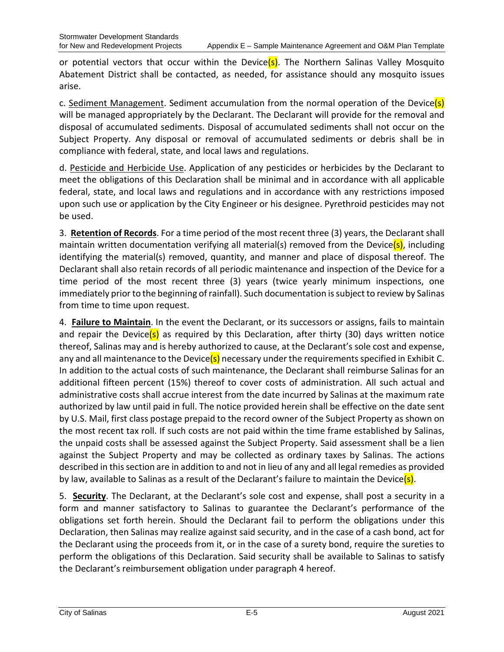or potential vectors that occur within the Device( $s$ ). The Northern Salinas Valley Mosquito Abatement District shall be contacted, as needed, for assistance should any mosquito issues arise.

c. Sediment Management. Sediment accumulation from the normal operation of the Device(s) will be managed appropriately by the Declarant. The Declarant will provide for the removal and disposal of accumulated sediments. Disposal of accumulated sediments shall not occur on the Subject Property. Any disposal or removal of accumulated sediments or debris shall be in compliance with federal, state, and local laws and regulations.

d. Pesticide and Herbicide Use. Application of any pesticides or herbicides by the Declarant to meet the obligations of this Declaration shall be minimal and in accordance with all applicable federal, state, and local laws and regulations and in accordance with any restrictions imposed upon such use or application by the City Engineer or his designee. Pyrethroid pesticides may not be used.

3. **Retention of Records**. For a time period of the most recent three (3) years, the Declarant shall maintain written documentation verifying all material(s) removed from the Device(s), including identifying the material(s) removed, quantity, and manner and place of disposal thereof. The Declarant shall also retain records of all periodic maintenance and inspection of the Device for a time period of the most recent three (3) years (twice yearly minimum inspections, one immediately prior to the beginning of rainfall). Such documentation is subject to review by Salinas from time to time upon request.

4. **Failure to Maintain**. In the event the Declarant, or its successors or assigns, fails to maintain and repair the Device(s) as required by this Declaration, after thirty (30) days written notice thereof, Salinas may and is hereby authorized to cause, at the Declarant's sole cost and expense, any and all maintenance to the Device(s) necessary under the requirements specified in Exhibit C. In addition to the actual costs of such maintenance, the Declarant shall reimburse Salinas for an additional fifteen percent (15%) thereof to cover costs of administration. All such actual and administrative costs shall accrue interest from the date incurred by Salinas at the maximum rate authorized by law until paid in full. The notice provided herein shall be effective on the date sent by U.S. Mail, first class postage prepaid to the record owner of the Subject Property as shown on the most recent tax roll. If such costs are not paid within the time frame established by Salinas, the unpaid costs shall be assessed against the Subject Property. Said assessment shall be a lien against the Subject Property and may be collected as ordinary taxes by Salinas. The actions described in this section are in addition to and not in lieu of any and all legal remedies as provided by law, available to Salinas as a result of the Declarant's failure to maintain the Device(s).

5. **Security**. The Declarant, at the Declarant's sole cost and expense, shall post a security in a form and manner satisfactory to Salinas to guarantee the Declarant's performance of the obligations set forth herein. Should the Declarant fail to perform the obligations under this Declaration, then Salinas may realize against said security, and in the case of a cash bond, act for the Declarant using the proceeds from it, or in the case of a surety bond, require the sureties to perform the obligations of this Declaration. Said security shall be available to Salinas to satisfy the Declarant's reimbursement obligation under paragraph 4 hereof.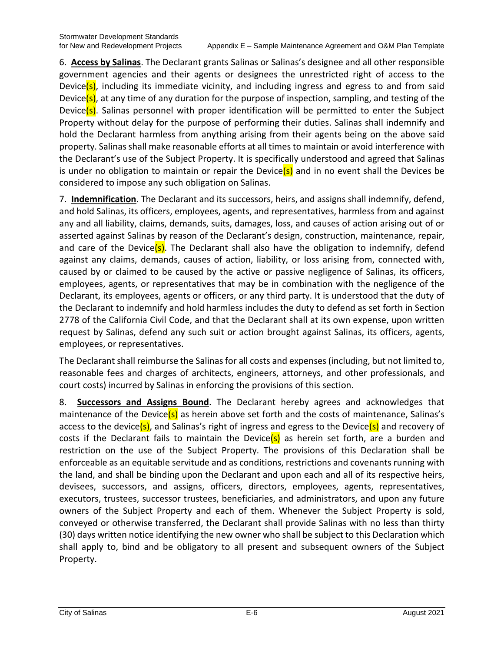6. **Access by Salinas**. The Declarant grants Salinas or Salinas's designee and all other responsible government agencies and their agents or designees the unrestricted right of access to the Device(s), including its immediate vicinity, and including ingress and egress to and from said Device(s), at any time of any duration for the purpose of inspection, sampling, and testing of the Device(s). Salinas personnel with proper identification will be permitted to enter the Subject Property without delay for the purpose of performing their duties. Salinas shall indemnify and hold the Declarant harmless from anything arising from their agents being on the above said property. Salinas shall make reasonable efforts at all times to maintain or avoid interference with the Declarant's use of the Subject Property. It is specifically understood and agreed that Salinas is under no obligation to maintain or repair the Device( $s$ ) and in no event shall the Devices be considered to impose any such obligation on Salinas.

7. **Indemnification**. The Declarant and its successors, heirs, and assigns shall indemnify, defend, and hold Salinas, its officers, employees, agents, and representatives, harmless from and against any and all liability, claims, demands, suits, damages, loss, and causes of action arising out of or asserted against Salinas by reason of the Declarant's design, construction, maintenance, repair, and care of the Device(s). The Declarant shall also have the obligation to indemnify, defend against any claims, demands, causes of action, liability, or loss arising from, connected with, caused by or claimed to be caused by the active or passive negligence of Salinas, its officers, employees, agents, or representatives that may be in combination with the negligence of the Declarant, its employees, agents or officers, or any third party. It is understood that the duty of the Declarant to indemnify and hold harmless includes the duty to defend as set forth in Section 2778 of the California Civil Code, and that the Declarant shall at its own expense, upon written request by Salinas, defend any such suit or action brought against Salinas, its officers, agents, employees, or representatives.

The Declarant shall reimburse the Salinas for all costs and expenses (including, but not limited to, reasonable fees and charges of architects, engineers, attorneys, and other professionals, and court costs) incurred by Salinas in enforcing the provisions of this section.

8. **Successors and Assigns Bound**. The Declarant hereby agrees and acknowledges that maintenance of the Device(s) as herein above set forth and the costs of maintenance, Salinas's access to the device(s), and Salinas's right of ingress and egress to the Device(s) and recovery of costs if the Declarant fails to maintain the Device(s) as herein set forth, are a burden and restriction on the use of the Subject Property. The provisions of this Declaration shall be enforceable as an equitable servitude and as conditions, restrictions and covenants running with the land, and shall be binding upon the Declarant and upon each and all of its respective heirs, devisees, successors, and assigns, officers, directors, employees, agents, representatives, executors, trustees, successor trustees, beneficiaries, and administrators, and upon any future owners of the Subject Property and each of them. Whenever the Subject Property is sold, conveyed or otherwise transferred, the Declarant shall provide Salinas with no less than thirty (30) days written notice identifying the new owner who shall be subject to this Declaration which shall apply to, bind and be obligatory to all present and subsequent owners of the Subject Property.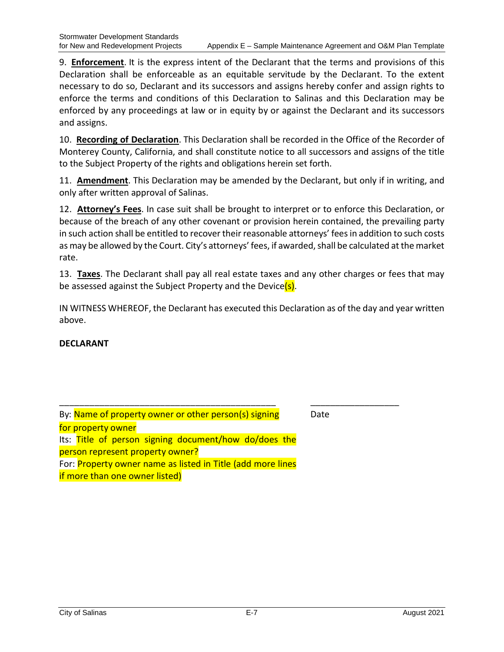\_\_\_\_\_\_\_\_\_\_\_\_\_\_\_\_\_\_

9. **Enforcement**. It is the express intent of the Declarant that the terms and provisions of this Declaration shall be enforceable as an equitable servitude by the Declarant. To the extent necessary to do so, Declarant and its successors and assigns hereby confer and assign rights to enforce the terms and conditions of this Declaration to Salinas and this Declaration may be enforced by any proceedings at law or in equity by or against the Declarant and its successors and assigns.

10. **Recording of Declaration**. This Declaration shall be recorded in the Office of the Recorder of Monterey County, California, and shall constitute notice to all successors and assigns of the title to the Subject Property of the rights and obligations herein set forth.

11. **Amendment**. This Declaration may be amended by the Declarant, but only if in writing, and only after written approval of Salinas.

12. **Attorney's Fees**. In case suit shall be brought to interpret or to enforce this Declaration, or because of the breach of any other covenant or provision herein contained, the prevailing party in such action shall be entitled to recover their reasonable attorneys' fees in addition to such costs as may be allowed by the Court. City's attorneys' fees, if awarded, shall be calculated at the market rate.

13. **Taxes**. The Declarant shall pay all real estate taxes and any other charges or fees that may be assessed against the Subject Property and the Device(s).

IN WITNESS WHEREOF, the Declarant has executed this Declaration as of the day and year written above.

### **DECLARANT**

| By: Name of property owner or other person(s) signing              |  |  |  |  |  |  |
|--------------------------------------------------------------------|--|--|--|--|--|--|
| for property owner                                                 |  |  |  |  |  |  |
| Its: Title of person signing document/how do/does the              |  |  |  |  |  |  |
| person represent property owner?                                   |  |  |  |  |  |  |
| For: <b>Property owner name as listed in Title (add more lines</b> |  |  |  |  |  |  |
| if more than one owner listed)                                     |  |  |  |  |  |  |

\_\_\_\_\_\_\_\_\_\_\_\_\_\_\_\_\_\_\_\_\_\_\_\_\_\_\_\_\_\_\_\_\_\_\_\_\_\_\_\_\_\_\_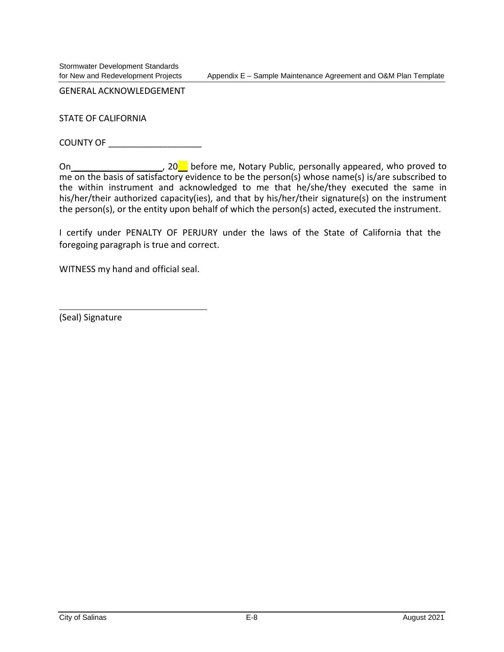Stormwater Development Standards

GENERAL ACKNOWLEDGEMENT

STATE OF CALIFORNIA

COUNTY OF \_\_\_\_\_\_\_\_\_\_\_\_\_\_\_\_\_\_\_

On \_\_\_\_\_\_\_\_\_\_\_\_\_\_\_\_\_\_\_\_, 20\_\_ before me, Notary Public, personally appeared, who proved to me on the basis of satisfactory evidence to be the person(s) whose name(s) is/are subscribed to the within instrument and acknowledged to me that he/she/they executed the same in his/her/their authorized capacity(ies), and that by his/her/their signature(s) on the instrument the person(s), or the entity upon behalf of which the person(s) acted, executed the instrument.

I certify under PENALTY OF PERJURY under the laws of the State of California that the foregoing paragraph is true and correct.

WITNESS my hand and official seal.

(Seal) Signature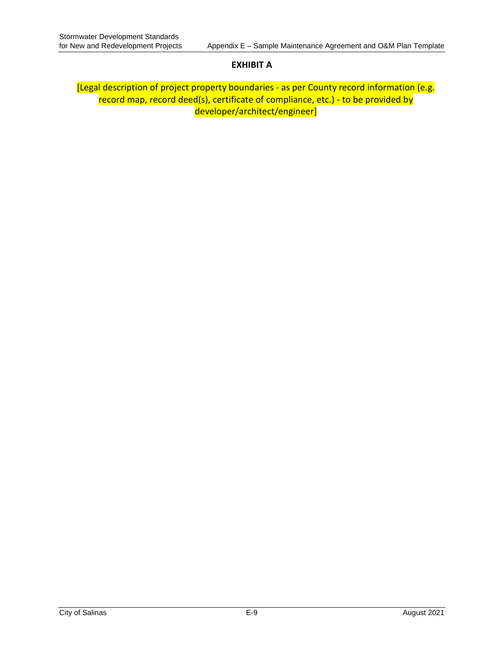### **EXHIBIT A**

[Legal description of project property boundaries - as per County record information (e.g. record map, record deed(s), certificate of compliance, etc.) - to be provided by developer/architect/engineer]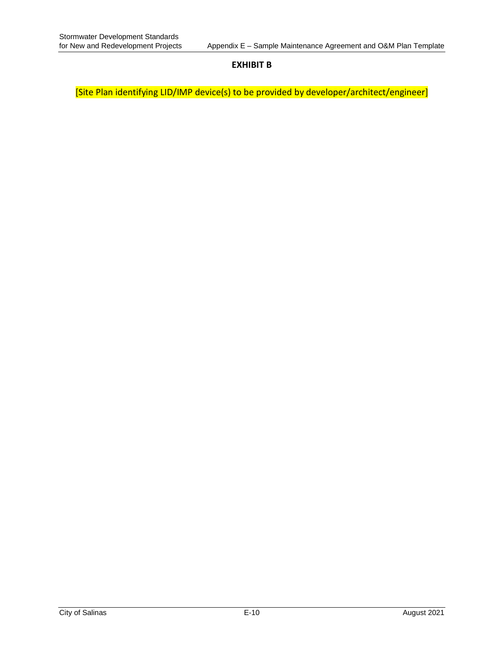#### **EXHIBIT B**

[Site Plan identifying LID/IMP device(s) to be provided by developer/architect/engineer]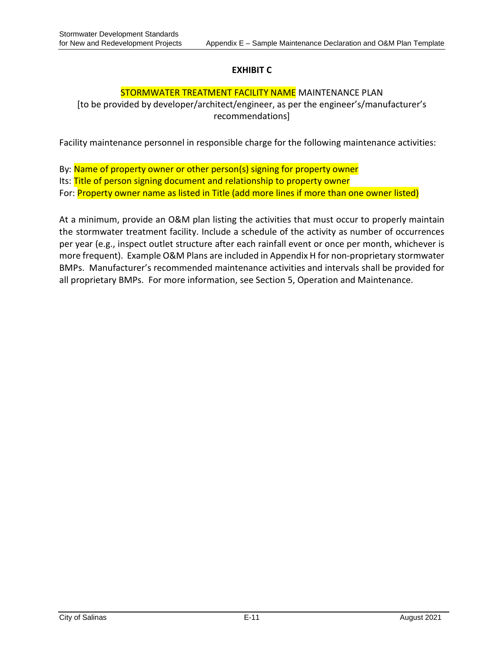# **EXHIBIT C**

## STORMWATER TREATMENT FACILITY NAME MAINTENANCE PLAN

[to be provided by developer/architect/engineer, as per the engineer's/manufacturer's recommendations]

Facility maintenance personnel in responsible charge for the following maintenance activities:

By: Name of property owner or other person(s) signing for property owner Its: Title of person signing document and relationship to property owner For: **Property owner name as listed in Title (add more lines if more than one owner listed)** 

At a minimum, provide an O&M plan listing the activities that must occur to properly maintain the stormwater treatment facility. Include a schedule of the activity as number of occurrences per year (e.g., inspect outlet structure after each rainfall event or once per month, whichever is more frequent). Example O&M Plans are included in Appendix H for non-proprietary stormwater BMPs. Manufacturer's recommended maintenance activities and intervals shall be provided for all proprietary BMPs. For more information, see Section 5, Operation and Maintenance.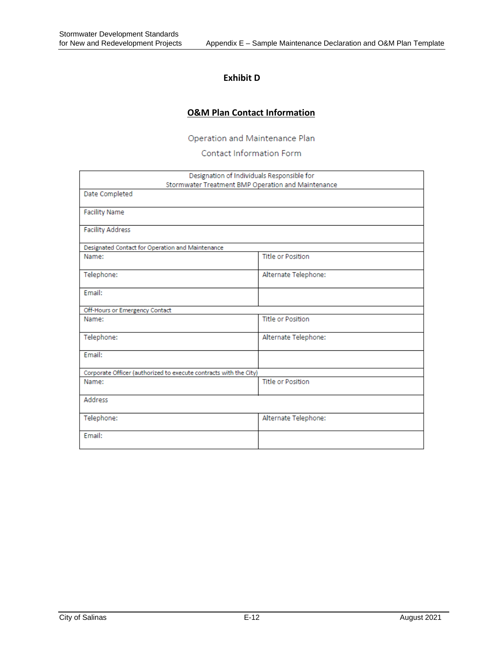# **Exhibit D**

# **O&M Plan Contact Information**

Operation and Maintenance Plan

### Contact Information Form

| Designation of Individuals Responsible for                        |                          |  |  |  |  |  |
|-------------------------------------------------------------------|--------------------------|--|--|--|--|--|
| Stormwater Treatment BMP Operation and Maintenance                |                          |  |  |  |  |  |
| Date Completed                                                    |                          |  |  |  |  |  |
| <b>Facility Name</b>                                              |                          |  |  |  |  |  |
| <b>Facility Address</b>                                           |                          |  |  |  |  |  |
| Designated Contact for Operation and Maintenance                  |                          |  |  |  |  |  |
| Name:                                                             | <b>Title or Position</b> |  |  |  |  |  |
| Telephone:                                                        | Alternate Telephone:     |  |  |  |  |  |
| Fmail:                                                            |                          |  |  |  |  |  |
| Off-Hours or Emergency Contact                                    |                          |  |  |  |  |  |
| Name:                                                             | <b>Title or Position</b> |  |  |  |  |  |
| Telephone:                                                        | Alternate Telephone:     |  |  |  |  |  |
| Email:                                                            |                          |  |  |  |  |  |
| Corporate Officer (authorized to execute contracts with the City) |                          |  |  |  |  |  |
| Name:                                                             | <b>Title or Position</b> |  |  |  |  |  |
| Address                                                           |                          |  |  |  |  |  |
| Telephone:                                                        | Alternate Telephone:     |  |  |  |  |  |
| Email:                                                            |                          |  |  |  |  |  |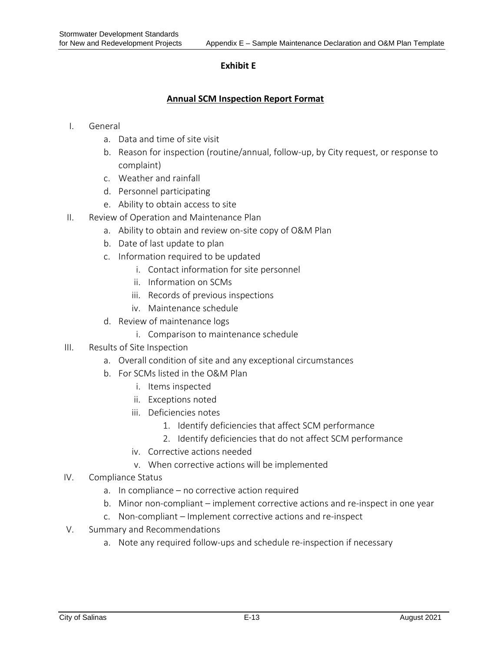### **Exhibit E**

### **Annual SCM Inspection Report Format**

- I. General
	- a. Data and time of site visit
	- b. Reason for inspection (routine/annual, follow-up, by City request, or response to complaint)
	- c. Weather and rainfall
	- d. Personnel participating
	- e. Ability to obtain access to site
- II. Review of Operation and Maintenance Plan
	- a. Ability to obtain and review on-site copy of O&M Plan
	- b. Date of last update to plan
	- c. Information required to be updated
		- i. Contact information for site personnel
		- ii. Information on SCMs
		- iii. Records of previous inspections
		- iv. Maintenance schedule
	- d. Review of maintenance logs
		- i. Comparison to maintenance schedule
- III. Results of Site Inspection
	- a. Overall condition of site and any exceptional circumstances
	- b. For SCMs listed in the O&M Plan
		- i. Items inspected
		- ii. Exceptions noted
		- iii. Deficiencies notes
			- 1. Identify deficiencies that affect SCM performance
			- 2. Identify deficiencies that do not affect SCM performance
		- iv. Corrective actions needed
		- v. When corrective actions will be implemented
- IV. Compliance Status
	- a. In compliance no corrective action required
	- b. Minor non-compliant implement corrective actions and re-inspect in one year
	- c. Non-compliant Implement corrective actions and re-inspect
- V. Summary and Recommendations
	- a. Note any required follow-ups and schedule re-inspection if necessary